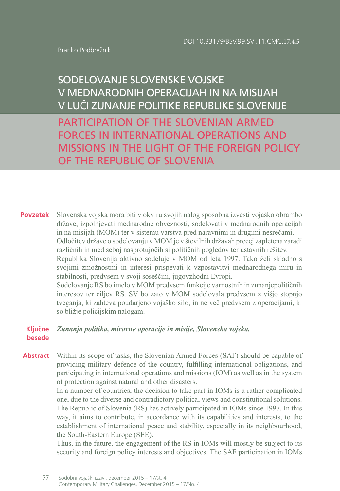Branko Podbrežnik

# SODELOVANJE SLOVENSKE VOJSKE V MEDNARODNIH OPERACIJAH IN NA MISIJAH V LUČI ZUNANJE POLITIKE REPUBLIKE SLOVENIJE

PARTICIPATION OF THE SLOVENIAN ARMED FORCES IN INTERNATIONAL OPERATIONS AND MISSIONS IN THE LIGHT OF THE FOREIGN POLICY OF THE REPUBLIC OF SLOVENIA

**Povzetek** Slovenska vojska mora biti v okviru svojih nalog sposobna izvesti vojaško obrambo države, izpolnjevati mednarodne obveznosti, sodelovati v mednarodnih operacijah in na misijah (MOM) ter v sistemu varstva pred naravnimi in drugimi nesrečami. Odločitev države o sodelovanju v MOM je v številnih državah precej zapletena zaradi različnih in med seboj nasprotujočih si političnih pogledov ter ustavnih rešitev. Republika Slovenija aktivno sodeluje v MOM od leta 1997. Tako želi skladno s svojimi zmožnostmi in interesi prispevati k vzpostavitvi mednarodnega miru in stabilnosti, predvsem v svoji soseščini, jugovzhodni Evropi. Sodelovanje RS bo imelo v MOM predvsem funkcije varnostnih in zunanjepolitičnih interesov ter ciljev RS. SV bo zato v MOM sodelovala predvsem z višjo stopnjo tveganja, ki zahteva poudarjeno vojaško silo, in ne več predvsem z operacijami, ki so bližje policijskim nalogam.

#### **Ključne besede** *Zunanja politika, mirovne operacije in misije, Slovenska vojska.*

**Abstract** Within its scope of tasks, the Slovenian Armed Forces (SAF) should be capable of providing military defence of the country, fulfilling international obligations, and participating in international operations and missions (IOM) as well as in the system of protection against natural and other disasters.

> In a number of countries, the decision to take part in IOMs is a rather complicated one, due to the diverse and contradictory political views and constitutional solutions. The Republic of Slovenia (RS) has actively participated in IOMs since 1997. In this way, it aims to contribute, in accordance with its capabilities and interests, to the establishment of international peace and stability, especially in its neighbourhood, the South-Eastern Europe (SEE).

> Thus, in the future, the engagement of the RS in IOMs will mostly be subject to its security and foreign policy interests and objectives. The SAF participation in IOMs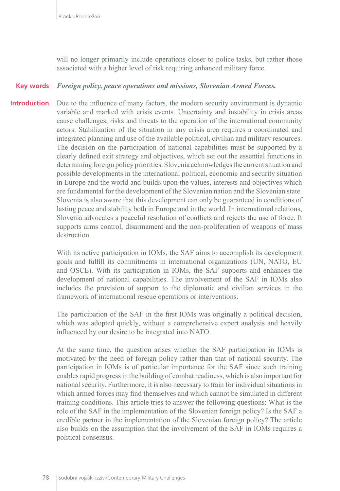will no longer primarily include operations closer to police tasks, but rather those associated with a higher level of risk requiring enhanced military force.

#### *Foreign policy, peace operations and missions, Slovenian Armed Forces.* **Key words**

Due to the influence of many factors, the modern security environment is dynamic variable and marked with crisis events. Uncertainty and instability in crisis areas cause challenges, risks and threats to the operation of the international community actors. Stabilization of the situation in any crisis area requires a coordinated and integrated planning and use of the available political, civilian and military resources. The decision on the participation of national capabilities must be supported by a clearly defined exit strategy and objectives, which set out the essential functions in determining foreign policy priorities. Slovenia acknowledges the current situation and possible developments in the international political, economic and security situation in Europe and the world and builds upon the values, interests and objectives which are fundamental for the development of the Slovenian nation and the Slovenian state. Slovenia is also aware that this development can only be guaranteed in conditions of lasting peace and stability both in Europe and in the world. In international relations, Slovenia advocates a peaceful resolution of conflicts and rejects the use of force. It supports arms control, disarmament and the non-proliferation of weapons of mass destruction. **Introduction**

> With its active participation in IOMs, the SAF aims to accomplish its development goals and fulfill its commitments in international organizations (UN, NATO, EU and OSCE). With its participation in IOMs, the SAF supports and enhances the development of national capabilities. The involvement of the SAF in IOMs also includes the provision of support to the diplomatic and civilian services in the framework of international rescue operations or interventions.

> The participation of the SAF in the first IOMs was originally a political decision, which was adopted quickly, without a comprehensive expert analysis and heavily influenced by our desire to be integrated into NATO.

> At the same time, the question arises whether the SAF participation in IOMs is motivated by the need of foreign policy rather than that of national security. The participation in IOMs is of particular importance for the SAF since such training enables rapid progress in the building of combat readiness, which is also important for national security. Furthermore, it is also necessary to train for individual situations in which armed forces may find themselves and which cannot be simulated in different training conditions. This article tries to answer the following questions: What is the role of the SAF in the implementation of the Slovenian foreign policy? Is the SAF a credible partner in the implementation of the Slovenian foreign policy? The article also builds on the assumption that the involvement of the SAF in IOMs requires a political consensus.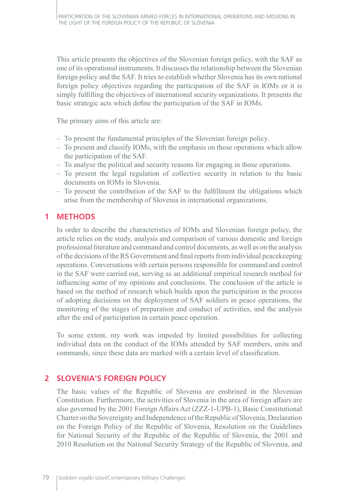This article presents the objectives of the Slovenian foreign policy, with the SAF as one of its operational instruments. It discusses the relationship between the Slovenian foreign policy and the SAF. It tries to establish whether Slovenia has its own national foreign policy objectives regarding the participation of the SAF in IOMs or it is simply fulfilling the objectives of international security organizations. It presents the basic strategic acts which define the participation of the SAF in IOMs.

The primary aims of this article are:

- To present the fundamental principles of the Slovenian foreign policy.
- To present and classify IOMs, with the emphasis on those operations which allow the participation of the SAF.
- To analyse the political and security reasons for engaging in those operations.
- To present the legal regulation of collective security in relation to the basic documents on IOMs in Slovenia.
- To present the contribution of the SAF to the fulfillment the obligations which arise from the membership of Slovenia in international organizations.

# **1 METHODS**

In order to describe the characteristics of IOMs and Slovenian foreign policy, the article relies on the study, analysis and comparison of various domestic and foreign professional literature and command and control documents, as well as on the analysis of the decisions of the RS Government and final reports from individual peacekeeping operations. Conversations with certain persons responsible for command and control in the SAF were carried out, serving as an additional empirical research method for influencing some of my opinions and conclusions. The conclusion of the article is based on the method of research which builds upon the participation in the process of adopting decisions on the deployment of SAF soldiers in peace operations, the monitoring of the stages of preparation and conduct of activities, and the analysis after the end of participation in certain peace operation.

To some extent, my work was impeded by limited possibilities for collecting individual data on the conduct of the IOMs attended by SAF members, units and commands, since these data are marked with a certain level of classification.

# **2 SLOVENIA'S FOREIGN POLICY**

The basic values of the Republic of Slovenia are enshrined in the Slovenian Constitution. Furthermore, the activities of Slovenia in the area of foreign affairs are also governed by the 2001 Foreign Affairs Act (ZZZ-1-UPB-1), Basic Constitutional Charter on the Sovereignty and Independence of the Republic of Slovenia, Declaration on the Foreign Policy of the Republic of Slovenia, Resolution on the Guidelines for National Security of the Republic of the Republic of Slovenia, the 2001 and 2010 Resolution on the National Security Strategy of the Republic of Slovenia, and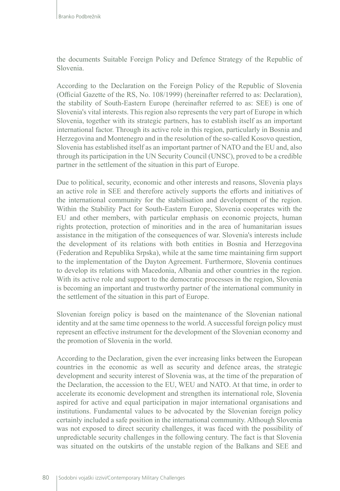the documents Suitable Foreign Policy and Defence Strategy of the Republic of Slovenia.

According to the Declaration on the Foreign Policy of the Republic of Slovenia (Official Gazette of the RS, No. 108/1999) (hereinafter referred to as: Declaration), the stability of South-Eastern Europe (hereinafter referred to as: SEE) is one of Slovenia's vital interests. This region also represents the very part of Europe in which Slovenia, together with its strategic partners, has to establish itself as an important international factor. Through its active role in this region, particularly in Bosnia and Herzegovina and Montenegro and in the resolution of the so-called Kosovo question, Slovenia has established itself as an important partner of NATO and the EU and, also through its participation in the UN Security Council (UNSC), proved to be a credible partner in the settlement of the situation in this part of Europe.

Due to political, security, economic and other interests and reasons, Slovenia plays an active role in SEE and therefore actively supports the efforts and initiatives of the international community for the stabilisation and development of the region. Within the Stability Pact for South-Eastern Europe, Slovenia cooperates with the EU and other members, with particular emphasis on economic projects, human rights protection, protection of minorities and in the area of humanitarian issues assistance in the mitigation of the consequences of war. Slovenia's interests include the development of its relations with both entities in Bosnia and Herzegovina (Federation and Republika Srpska), while at the same time maintaining firm support to the implementation of the Dayton Agreement. Furthermore, Slovenia continues to develop its relations with Macedonia, Albania and other countries in the region. With its active role and support to the democratic processes in the region, Slovenia is becoming an important and trustworthy partner of the international community in the settlement of the situation in this part of Europe.

Slovenian foreign policy is based on the maintenance of the Slovenian national identity and at the same time openness to the world. A successful foreign policy must represent an effective instrument for the development of the Slovenian economy and the promotion of Slovenia in the world.

According to the Declaration, given the ever increasing links between the European countries in the economic as well as security and defence areas, the strategic development and security interest of Slovenia was, at the time of the preparation of the Declaration, the accession to the EU, WEU and NATO. At that time, in order to accelerate its economic development and strengthen its international role, Slovenia aspired for active and equal participation in major international organisations and institutions. Fundamental values to be advocated by the Slovenian foreign policy certainly included a safe position in the international community. Although Slovenia was not exposed to direct security challenges, it was faced with the possibility of unpredictable security challenges in the following century. The fact is that Slovenia was situated on the outskirts of the unstable region of the Balkans and SEE and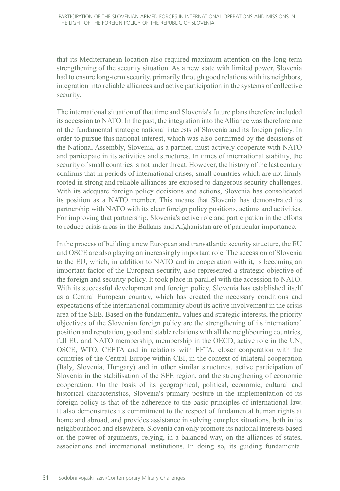that its Mediterranean location also required maximum attention on the long-term strengthening of the security situation. As a new state with limited power, Slovenia had to ensure long-term security, primarily through good relations with its neighbors, integration into reliable alliances and active participation in the systems of collective security.

The international situation of that time and Slovenia's future plans therefore included its accession to NATO. In the past, the integration into the Alliance was therefore one of the fundamental strategic national interests of Slovenia and its foreign policy. In order to pursue this national interest, which was also confirmed by the decisions of the National Assembly, Slovenia, as a partner, must actively cooperate with NATO and participate in its activities and structures. In times of international stability, the security of small countries is not under threat. However, the history of the last century confirms that in periods of international crises, small countries which are not firmly rooted in strong and reliable alliances are exposed to dangerous security challenges. With its adequate foreign policy decisions and actions, Slovenia has consolidated its position as a NATO member. This means that Slovenia has demonstrated its partnership with NATO with its clear foreign policy positions, actions and activities. For improving that partnership, Slovenia's active role and participation in the efforts to reduce crisis areas in the Balkans and Afghanistan are of particular importance.

In the process of building a new European and transatlantic security structure, the EU and OSCE are also playing an increasingly important role. The accession of Slovenia to the EU, which, in addition to NATO and in cooperation with it, is becoming an important factor of the European security, also represented a strategic objective of the foreign and security policy. It took place in parallel with the accession to NATO. With its successful development and foreign policy, Slovenia has established itself as a Central European country, which has created the necessary conditions and expectations of the international community about its active involvement in the crisis area of the SEE. Based on the fundamental values and strategic interests, the priority objectives of the Slovenian foreign policy are the strengthening of its international position and reputation, good and stable relations with all the neighbouring countries, full EU and NATO membership, membership in the OECD, active role in the UN, OSCE, WTO, CEFTA and in relations with EFTA, closer cooperation with the countries of the Central Europe within CEI, in the context of trilateral cooperation (Italy, Slovenia, Hungary) and in other similar structures, active participation of Slovenia in the stabilisation of the SEE region, and the strengthening of economic cooperation. On the basis of its geographical, political, economic, cultural and historical characteristics, Slovenia's primary posture in the implementation of its foreign policy is that of the adherence to the basic principles of international law. It also demonstrates its commitment to the respect of fundamental human rights at home and abroad, and provides assistance in solving complex situations, both in its neighbourhood and elsewhere. Slovenia can only promote its national interests based on the power of arguments, relying, in a balanced way, on the alliances of states, associations and international institutions. In doing so, its guiding fundamental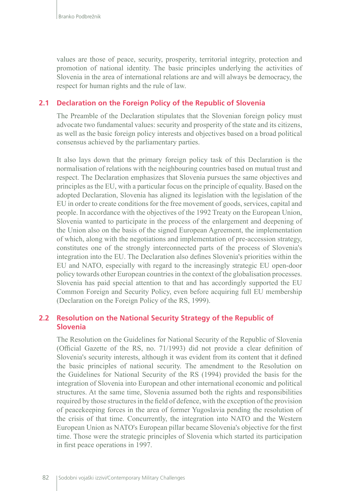values are those of peace, security, prosperity, territorial integrity, protection and promotion of national identity. The basic principles underlying the activities of Slovenia in the area of international relations are and will always be democracy, the respect for human rights and the rule of law.

#### **2.1 Declaration on the Foreign Policy of the Republic of Slovenia**

The Preamble of the Declaration stipulates that the Slovenian foreign policy must advocate two fundamental values: security and prosperity of the state and its citizens, as well as the basic foreign policy interests and objectives based on a broad political consensus achieved by the parliamentary parties.

It also lays down that the primary foreign policy task of this Declaration is the normalisation of relations with the neighbouring countries based on mutual trust and respect. The Declaration emphasizes that Slovenia pursues the same objectives and principles as the EU, with a particular focus on the principle of equality. Based on the adopted Declaration, Slovenia has aligned its legislation with the legislation of the EU in order to create conditions for the free movement of goods, services, capital and people. In accordance with the objectives of the 1992 Treaty on the European Union, Slovenia wanted to participate in the process of the enlargement and deepening of the Union also on the basis of the signed European Agreement, the implementation of which, along with the negotiations and implementation of pre-accession strategy, constitutes one of the strongly interconnected parts of the process of Slovenia's integration into the EU. The Declaration also defines Slovenia's priorities within the EU and NATO, especially with regard to the increasingly strategic EU open-door policy towards other European countries in the context of the globalisation processes. Slovenia has paid special attention to that and has accordingly supported the EU Common Foreign and Security Policy, even before acquiring full EU membership (Declaration on the Foreign Policy of the RS, 1999).

#### **2.2 Resolution on the National Security Strategy of the Republic of Slovenia**

The Resolution on the Guidelines for National Security of the Republic of Slovenia (Official Gazette of the RS, no. 71/1993) did not provide a clear definition of Slovenia's security interests, although it was evident from its content that it defined the basic principles of national security. The amendment to the Resolution on the Guidelines for National Security of the RS (1994) provided the basis for the integration of Slovenia into European and other international economic and political structures. At the same time, Slovenia assumed both the rights and responsibilities required by those structures in the field of defence, with the exception of the provision of peacekeeping forces in the area of former Yugoslavia pending the resolution of the crisis of that time. Concurrently, the integration into NATO and the Western European Union as NATO's European pillar became Slovenia's objective for the first time. Those were the strategic principles of Slovenia which started its participation in first peace operations in 1997.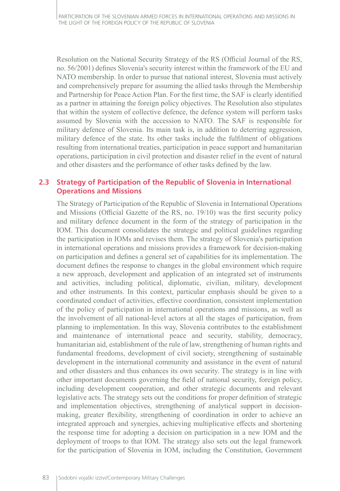Resolution on the National Security Strategy of the RS (Official Journal of the RS, no. 56/2001) defines Slovenia's security interest within the framework of the EU and NATO membership. In order to pursue that national interest, Slovenia must actively and comprehensively prepare for assuming the allied tasks through the Membership and Partnership for Peace Action Plan. For the first time, the SAF is clearly identified as a partner in attaining the foreign policy objectives. The Resolution also stipulates that within the system of collective defence, the defence system will perform tasks assumed by Slovenia with the accession to NATO. The SAF is responsible for military defence of Slovenia. Its main task is, in addition to deterring aggression, military defence of the state. Its other tasks include the fulfilment of obligations resulting from international treaties, participation in peace support and humanitarian operations, participation in civil protection and disaster relief in the event of natural and other disasters and the performance of other tasks defined by the law.

### **2.3 Strategy of Participation of the Republic of Slovenia in International Operations and Missions**

The Strategy of Participation of the Republic of Slovenia in International Operations and Missions (Official Gazette of the RS, no. 19/10) was the first security policy and military defence document in the form of the strategy of participation in the IOM. This document consolidates the strategic and political guidelines regarding the participation in IOMs and revises them. The strategy of Slovenia's participation in international operations and missions provides a framework for decision-making on participation and defines a general set of capabilities for its implementation. The document defines the response to changes in the global environment which require a new approach, development and application of an integrated set of instruments and activities, including political, diplomatic, civilian, military, development and other instruments. In this context, particular emphasis should be given to a coordinated conduct of activities, effective coordination, consistent implementation of the policy of participation in international operations and missions, as well as the involvement of all national-level actors at all the stages of participation, from planning to implementation. In this way, Slovenia contributes to the establishment and maintenance of international peace and security, stability, democracy, humanitarian aid, establishment of the rule of law, strengthening of human rights and fundamental freedoms, development of civil society, strengthening of sustainable development in the international community and assistance in the event of natural and other disasters and thus enhances its own security. The strategy is in line with other important documents governing the field of national security, foreign policy, including development cooperation, and other strategic documents and relevant legislative acts. The strategy sets out the conditions for proper definition of strategic and implementation objectives, strengthening of analytical support in decisionmaking, greater flexibility, strengthening of coordination in order to achieve an integrated approach and synergies, achieving multiplicative effects and shortening the response time for adopting a decision on participation in a new IOM and the deployment of troops to that IOM. The strategy also sets out the legal framework for the participation of Slovenia in IOM, including the Constitution, Government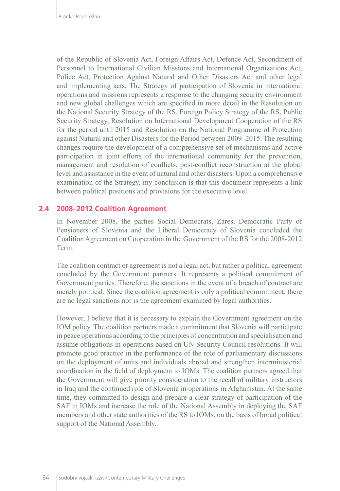of the Republic of Slovenia Act, Foreign Affairs Act, Defence Act, Secondment of Personnel to International Civilian Missions and International Organizations Act, Police Act, Protection Against Natural and Other Disasters Act and other legal and implementing acts. The Strategy of participation of Slovenia in international operations and missions represents a response to the changing security environment and new global challenges which are specified in more detail in the Resolution on the National Security Strategy of the RS, Foreign Policy Strategy of the RS, Public Security Strategy, Resolution on International Development Cooperation of the RS for the period until 2015 and Resolution on the National Programme of Protection against Natural and other Disasters for the Period between 2009–2015. The resulting changes require the development of a comprehensive set of mechanisms and active participation in joint efforts of the international community for the prevention, management and resolution of conflicts, post-conflict reconstruction at the global level and assistance in the event of natural and other disasters. Upon a comprehensive examination of the Strategy, my conclusion is that this document represents a link between political positions and provisions for the executive level.

#### **2.4 2008–2012 Coalition Agreement**

In November 2008, the parties Social Democrats, Zares, Democratic Party of Pensioners of Slovenia and the Liberal Democracy of Slovenia concluded the Coalition Agreement on Cooperation in the Government of the RS for the 2008-2012 Term.

The coalition contract or agreement is not a legal act, but rather a political agreement concluded by the Government partners. It represents a political commitment of Government parties. Therefore, the sanctions in the event of a breach of contract are merely political. Since the coalition agreement is only a political commitment, there are no legal sanctions nor is the agreement examined by legal authorities.

However, I believe that it is necessary to explain the Government agreement on the IOM policy. The coalition partners made a commitment that Slovenia will participate in peace operations according to the principles of concentration and specialisation and assume obligations in operations based on UN Security Council resolutions. It will promote good practice in the performance of the role of parliamentary discussions on the deployment of units and individuals abroad and strengthen interministerial coordination in the field of deployment to IOMs. The coalition partners agreed that the Government will give priority consideration to the recall of military instructors in Iraq and the continued role of Slovenia in operations in Afghanistan. At the same time, they committed to design and prepare a clear strategy of participation of the SAF in IOMs and increase the role of the National Assembly in deploying the SAF members and other state authorities of the RS to IOMs, on the basis of broad political support of the National Assembly.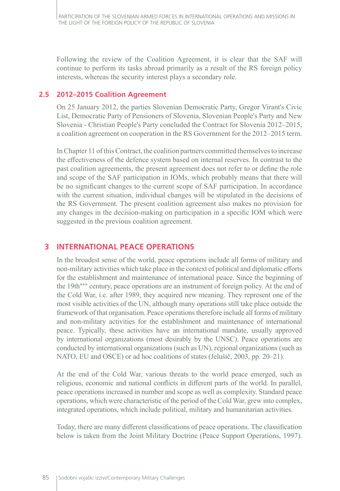Following the review of the Coalition Agreement, it is clear that the SAF will continue to perform its tasks abroad primarily as a result of the RS foreign policy interests, whereas the security interest plays a secondary role.

### **2.5 2012–2015 Coalition Agreement**

On 25 January 2012, the parties Slovenian Democratic Party, Gregor Virant's Civic List, Democratic Party of Pensioners of Slovenia, Slovenian People's Party and New Slovenia - Christian People's Party concluded the Contract for Slovenia 2012–2015, a coalition agreement on cooperation in the RS Government for the 2012–2015 term.

In Chapter 11 of this Contract, the coalition partners committed themselves to increase the effectiveness of the defence system based on internal reserves. In contrast to the past coalition agreements, the present agreement does not refer to or define the role and scope of the SAF participation in IOMs, which probably means that there will be no significant changes to the current scope of SAF participation. In accordance with the current situation, individual changes will be stipulated in the decisions of the RS Government. The present coalition agreement also makes no provision for any changes in the decision-making on participation in a specific IOM which were suggested in the previous coalition agreement.

# **3 INTERNATIONAL PEACE OPERATIONS**

In the broadest sense of the world, peace operations include all forms of military and non-military activities which take place in the context of political and diplomatic efforts for the establishment and maintenance of international peace. Since the beginning of the 19th\*\*\* century, peace operations are an instrument of foreign policy. At the end of the Cold War, i.e. after 1989, they acquired new meaning. They represent one of the most visible activities of the UN, although many operations still take place outside the framework of that organisation. Peace operations therefore include all forms of military and non-military activities for the establishment and maintenance of international peace. Typically, these activities have an international mandate, usually approved by international organizations (most desirably by the UNSC). Peace operations are conducted by international organizations (such as UN), regional organizations (such as NATO, EU and OSCE) or ad hoc coalitions of states (Jelušič, 2003, pp. 20–21).

At the end of the Cold War, various threats to the world peace emerged, such as religious, economic and national conflicts in different parts of the world. In parallel, peace operations increased in number and scope as well as complexity. Standard peace operations, which were characteristic of the period of the Cold War, grew into complex, integrated operations, which include political, military and humanitarian activities.

Today, there are many different classifications of peace operations. The classification below is taken from the Joint Military Doctrine (Peace Support Operations, 1997).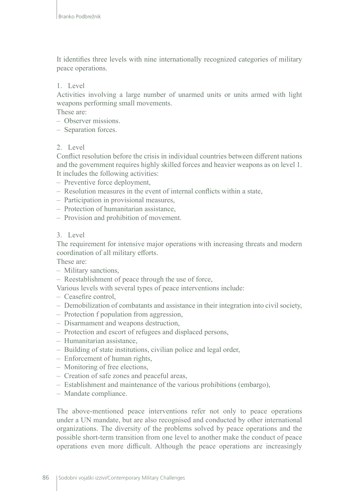It identifies three levels with nine internationally recognized categories of military peace operations.

#### 1. Level

Activities involving a large number of unarmed units or units armed with light weapons performing small movements.

These are:

- Observer missions.
- Separation forces.

#### 2. Level

Conflict resolution before the crisis in individual countries between different nations and the government requires highly skilled forces and heavier weapons as on level 1. It includes the following activities:

- Preventive force deployment,
- Resolution measures in the event of internal conflicts within a state,
- Participation in provisional measures,
- Protection of humanitarian assistance,
- Provision and prohibition of movement.

#### 3. Level

The requirement for intensive major operations with increasing threats and modern coordination of all military efforts.

These are:

- Military sanctions,
- Reestablishment of peace through the use of force,

Various levels with several types of peace interventions include:

- Ceasefire control,
- Demobilization of combatants and assistance in their integration into civil society,
- Protection f population from aggression,
- Disarmament and weapons destruction,
- Protection and escort of refugees and displaced persons,
- Humanitarian assistance,
- Building of state institutions, civilian police and legal order,
- Enforcement of human rights,
- Monitoring of free elections,
- Creation of safe zones and peaceful areas,
- Establishment and maintenance of the various prohibitions (embargo),
- Mandate compliance.

The above-mentioned peace interventions refer not only to peace operations under a UN mandate, but are also recognised and conducted by other international organizations. The diversity of the problems solved by peace operations and the possible short-term transition from one level to another make the conduct of peace operations even more difficult. Although the peace operations are increasingly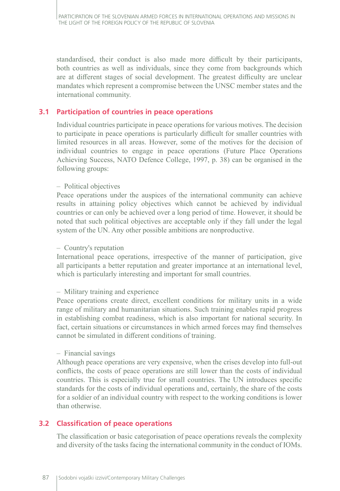standardised, their conduct is also made more difficult by their participants, both countries as well as individuals, since they come from backgrounds which are at different stages of social development. The greatest difficulty are unclear mandates which represent a compromise between the UNSC member states and the international community.

### **3.1 Participation of countries in peace operations**

Individual countries participate in peace operations for various motives. The decision to participate in peace operations is particularly difficult for smaller countries with limited resources in all areas. However, some of the motives for the decision of individual countries to engage in peace operations (Future Place Operations Achieving Success, NATO Defence College, 1997, p. 38) can be organised in the following groups:

#### – Political objectives

Peace operations under the auspices of the international community can achieve results in attaining policy objectives which cannot be achieved by individual countries or can only be achieved over a long period of time. However, it should be noted that such political objectives are acceptable only if they fall under the legal system of the UN. Any other possible ambitions are nonproductive.

#### – Country's reputation

International peace operations, irrespective of the manner of participation, give all participants a better reputation and greater importance at an international level, which is particularly interesting and important for small countries.

#### – Military training and experience

Peace operations create direct, excellent conditions for military units in a wide range of military and humanitarian situations. Such training enables rapid progress in establishing combat readiness, which is also important for national security. In fact, certain situations or circumstances in which armed forces may find themselves cannot be simulated in different conditions of training.

#### – Financial savings

Although peace operations are very expensive, when the crises develop into full-out conflicts, the costs of peace operations are still lower than the costs of individual countries. This is especially true for small countries. The UN introduces specific standards for the costs of individual operations and, certainly, the share of the costs for a soldier of an individual country with respect to the working conditions is lower than otherwise.

#### **3.2 Classification of peace operations**

The classification or basic categorisation of peace operations reveals the complexity and diversity of the tasks facing the international community in the conduct of IOMs.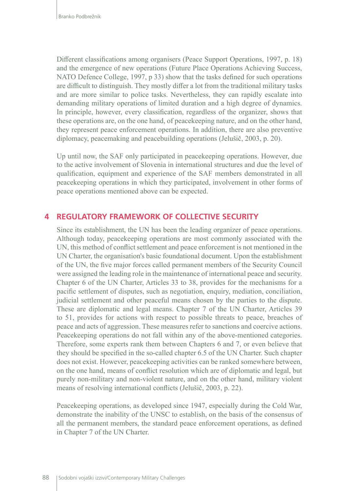Different classifications among organisers (Peace Support Operations, 1997, p. 18) and the emergence of new operations (Future Place Operations Achieving Success, NATO Defence College, 1997, p 33) show that the tasks defined for such operations are difficult to distinguish. They mostly differ a lot from the traditional military tasks and are more similar to police tasks. Nevertheless, they can rapidly escalate into demanding military operations of limited duration and a high degree of dynamics. In principle, however, every classification, regardless of the organizer, shows that these operations are, on the one hand, of peacekeeping nature, and on the other hand, they represent peace enforcement operations. In addition, there are also preventive diplomacy, peacemaking and peacebuilding operations (Jelušič, 2003, p. 20).

Up until now, the SAF only participated in peacekeeping operations. However, due to the active involvement of Slovenia in international structures and due the level of qualification, equipment and experience of the SAF members demonstrated in all peacekeeping operations in which they participated, involvement in other forms of peace operations mentioned above can be expected.

#### **4 REGULATORY FRAMEWORK OF COLLECTIVE SECURITY**

Since its establishment, the UN has been the leading organizer of peace operations. Although today, peacekeeping operations are most commonly associated with the UN, this method of conflict settlement and peace enforcement is not mentioned in the UN Charter, the organisation's basic foundational document. Upon the establishment of the UN, the five major forces called permanent members of the Security Council were assigned the leading role in the maintenance of international peace and security. Chapter 6 of the UN Charter, Articles 33 to 38, provides for the mechanisms for a pacific settlement of disputes, such as negotiation, enquiry, mediation, conciliation, judicial settlement and other peaceful means chosen by the parties to the dispute. These are diplomatic and legal means. Chapter 7 of the UN Charter, Articles 39 to 51, provides for actions with respect to possible threats to peace, breaches of peace and acts of aggression. These measures refer to sanctions and coercive actions. Peacekeeping operations do not fall within any of the above-mentioned categories. Therefore, some experts rank them between Chapters 6 and 7, or even believe that they should be specified in the so-called chapter 6.5 of the UN Charter. Such chapter does not exist. However, peacekeeping activities can be ranked somewhere between, on the one hand, means of conflict resolution which are of diplomatic and legal, but purely non-military and non-violent nature, and on the other hand, military violent means of resolving international conflicts (Jelušič, 2003, p. 22).

Peacekeeping operations, as developed since 1947, especially during the Cold War, demonstrate the inability of the UNSC to establish, on the basis of the consensus of all the permanent members, the standard peace enforcement operations, as defined in Chapter 7 of the UN Charter.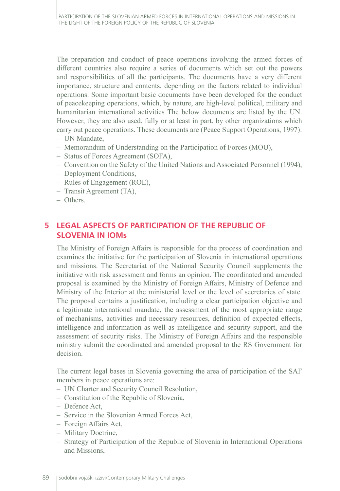The preparation and conduct of peace operations involving the armed forces of different countries also require a series of documents which set out the powers and responsibilities of all the participants. The documents have a very different importance, structure and contents, depending on the factors related to individual operations. Some important basic documents have been developed for the conduct of peacekeeping operations, which, by nature, are high-level political, military and humanitarian international activities The below documents are listed by the UN. However, they are also used, fully or at least in part, by other organizations which carry out peace operations. These documents are (Peace Support Operations, 1997):

- UN Mandate,
- Memorandum of Understanding on the Participation of Forces (MOU),
- Status of Forces Agreement (SOFA),
- Convention on the Safety of the United Nations and Associated Personnel (1994),
- Deployment Conditions,
- Rules of Engagement (ROE),
- Transit Agreement (TA),
- Others.

# **5 LEGAL ASPECTS OF PARTICIPATION OF THE REPUBLIC OF SLOVENIA IN IOMs**

The Ministry of Foreign Affairs is responsible for the process of coordination and examines the initiative for the participation of Slovenia in international operations and missions. The Secretariat of the National Security Council supplements the initiative with risk assessment and forms an opinion. The coordinated and amended proposal is examined by the Ministry of Foreign Affairs, Ministry of Defence and Ministry of the Interior at the ministerial level or the level of secretaries of state. The proposal contains a justification, including a clear participation objective and a legitimate international mandate, the assessment of the most appropriate range of mechanisms, activities and necessary resources, definition of expected effects, intelligence and information as well as intelligence and security support, and the assessment of security risks. The Ministry of Foreign Affairs and the responsible ministry submit the coordinated and amended proposal to the RS Government for decision.

The current legal bases in Slovenia governing the area of participation of the SAF members in peace operations are:

- UN Charter and Security Council Resolution,
- Constitution of the Republic of Slovenia,
- Defence Act,
- Service in the Slovenian Armed Forces Act,
- Foreign Affairs Act,
- Military Doctrine,
- Strategy of Participation of the Republic of Slovenia in International Operations and Missions,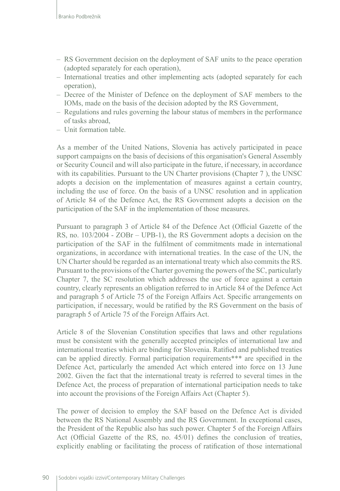- RS Government decision on the deployment of SAF units to the peace operation (adopted separately for each operation),
- International treaties and other implementing acts (adopted separately for each operation),
- Decree of the Minister of Defence on the deployment of SAF members to the IOMs, made on the basis of the decision adopted by the RS Government,
- Regulations and rules governing the labour status of members in the performance of tasks abroad,
- Unit formation table.

As a member of the United Nations, Slovenia has actively participated in peace support campaigns on the basis of decisions of this organisation's General Assembly or Security Council and will also participate in the future, if necessary, in accordance with its capabilities. Pursuant to the UN Charter provisions (Chapter 7 ), the UNSC adopts a decision on the implementation of measures against a certain country, including the use of force. On the basis of a UNSC resolution and in application of Article 84 of the Defence Act, the RS Government adopts a decision on the participation of the SAF in the implementation of those measures.

Pursuant to paragraph 3 of Article 84 of the Defence Act (Official Gazette of the RS, no. 103/2004 - ZOBr – UPB-1), the RS Government adopts a decision on the participation of the SAF in the fulfilment of commitments made in international organizations, in accordance with international treaties. In the case of the UN, the UN Charter should be regarded as an international treaty which also commits the RS. Pursuant to the provisions of the Charter governing the powers of the SC, particularly Chapter 7, the SC resolution which addresses the use of force against a certain country, clearly represents an obligation referred to in Article 84 of the Defence Act and paragraph 5 of Article 75 of the Foreign Affairs Act. Specific arrangements on participation, if necessary, would be ratified by the RS Government on the basis of paragraph 5 of Article 75 of the Foreign Affairs Act.

Article 8 of the Slovenian Constitution specifies that laws and other regulations must be consistent with the generally accepted principles of international law and international treaties which are binding for Slovenia. Ratified and published treaties can be applied directly. Formal participation requirements\*\*\* are specified in the Defence Act, particularly the amended Act which entered into force on 13 June 2002. Given the fact that the international treaty is referred to several times in the Defence Act, the process of preparation of international participation needs to take into account the provisions of the Foreign Affairs Act (Chapter 5).

The power of decision to employ the SAF based on the Defence Act is divided between the RS National Assembly and the RS Government. In exceptional cases, the President of the Republic also has such power. Chapter 5 of the Foreign Affairs Act (Official Gazette of the RS, no. 45/01) defines the conclusion of treaties, explicitly enabling or facilitating the process of ratification of those international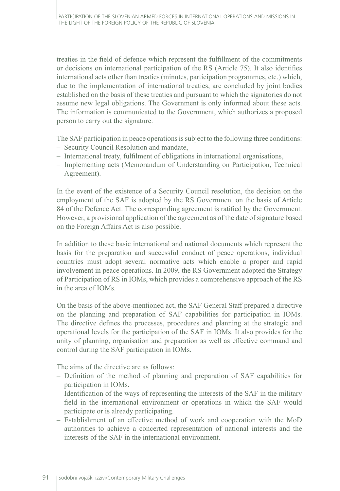treaties in the field of defence which represent the fulfillment of the commitments or decisions on international participation of the RS (Article 75). It also identifies international acts other than treaties (minutes, participation programmes, etc.) which, due to the implementation of international treaties, are concluded by joint bodies established on the basis of these treaties and pursuant to which the signatories do not assume new legal obligations. The Government is only informed about these acts. The information is communicated to the Government, which authorizes a proposed person to carry out the signature.

The SAF participation in peace operations is subject to the following three conditions:

- Security Council Resolution and mandate,
- International treaty, fulfilment of obligations in international organisations,
- Implementing acts (Memorandum of Understanding on Participation, Technical Agreement).

In the event of the existence of a Security Council resolution, the decision on the employment of the SAF is adopted by the RS Government on the basis of Article 84 of the Defence Act. The corresponding agreement is ratified by the Government. However, a provisional application of the agreement as of the date of signature based on the Foreign Affairs Act is also possible.

In addition to these basic international and national documents which represent the basis for the preparation and successful conduct of peace operations, individual countries must adopt several normative acts which enable a proper and rapid involvement in peace operations. In 2009, the RS Government adopted the Strategy of Participation of RS in IOMs, which provides a comprehensive approach of the RS in the area of IOMs.

On the basis of the above-mentioned act, the SAF General Staff prepared a directive on the planning and preparation of SAF capabilities for participation in IOMs. The directive defines the processes, procedures and planning at the strategic and operational levels for the participation of the SAF in IOMs. It also provides for the unity of planning, organisation and preparation as well as effective command and control during the SAF participation in IOMs.

The aims of the directive are as follows:

- Definition of the method of planning and preparation of SAF capabilities for participation in IOMs.
- Identification of the ways of representing the interests of the SAF in the military field in the international environment or operations in which the SAF would participate or is already participating.
- Establishment of an effective method of work and cooperation with the MoD authorities to achieve a concerted representation of national interests and the interests of the SAF in the international environment.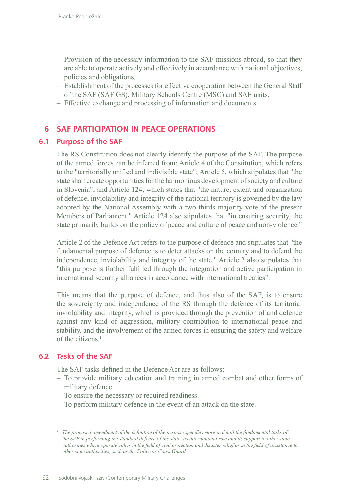- Provision of the necessary information to the SAF missions abroad, so that they are able to operate actively and effectively in accordance with national objectives, policies and obligations.
- Establishment of the processes for effective cooperation between the General Staff of the SAF (SAF GS), Military Schools Centre (MSC) and SAF units.
- Effective exchange and processing of information and documents.

# **6 SAF PARTICIPATION IN PEACE OPERATIONS**

#### **6.1 Purpose of the SAF**

The RS Constitution does not clearly identify the purpose of the SAF. The purpose of the armed forces can be inferred from: Article 4 of the Constitution, which refers to the "territorially unified and indivisible state"; Article 5, which stipulates that "the state shall create opportunities for the harmonious development of society and culture in Slovenia"; and Article 124, which states that "the nature, extent and organization of defence, inviolability and integrity of the national territory is governed by the law adopted by the National Assembly with a two-thirds majority vote of the present Members of Parliament." Article 124 also stipulates that "in ensuring security, the state primarily builds on the policy of peace and culture of peace and non-violence."

Article 2 of the Defence Act refers to the purpose of defence and stipulates that "the fundamental purpose of defence is to deter attacks on the country and to defend the independence, inviolability and integrity of the state." Article 2 also stipulates that "this purpose is further fulfilled through the integration and active participation in international security alliances in accordance with international treaties".

This means that the purpose of defence, and thus also of the SAF, is to ensure the sovereignty and independence of the RS through the defence of its territorial inviolability and integrity, which is provided through the prevention of and defence against any kind of aggression, military contribution to international peace and stability, and the involvement of the armed forces in ensuring the safety and welfare of the citizens.<sup>1</sup>

#### **6.2 Tasks of the SAF**

The SAF tasks defined in the Defence Act are as follows:

- To provide military education and training in armed combat and other forms of military defence.
- To ensure the necessary or required readiness.
- To perform military defence in the event of an attack on the state.

*<sup>1</sup> The proposed amendment of the definition of the purpose specifies more in detail the fundamental tasks of the SAF in performing the standard defence of the state, its international role and its support to other state authorities which operate either in the field of civil protection and disaster relief or in the field of assistance to other state authorities, such as the Police or Coast Guard.*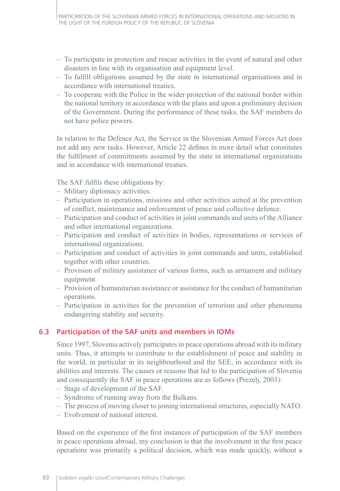- To participate in protection and rescue activities in the event of natural and other disasters in line with its organisation and equipment level.
- To fulfill obligations assumed by the state in international organisations and in accordance with international treaties.
- To cooperate with the Police in the wider protection of the national border within the national territory in accordance with the plans and upon a preliminary decision of the Government. During the performance of these tasks, the SAF members do not have police powers.

In relation to the Defence Act, the Service in the Slovenian Armed Forces Act does not add any new tasks. However, Article 22 defines in more detail what constitutes the fulfilment of commitments assumed by the state in international organizations and in accordance with international treaties.

The SAF fulfils these obligations by:

- Military diplomacy activities.
- Participation in operations, missions and other activities aimed at the prevention of conflict, maintenance and enforcement of peace and collective defence.
- Participation and conduct of activities in joint commands and units of the Alliance and other international organizations.
- Participation and conduct of activities in bodies, representations or services of international organizations.
- Participation and conduct of activities in joint commands and units, established together with other countries.
- Provision of military assistance of various forms, such as armament and military equipment.
- Provision of humanitarian assistance or assistance for the conduct of humanitarian operations.
- Participation in activities for the prevention of terrorism and other phenomena endangering stability and security.

# **6.3 Participation of the SAF units and members in IOMs**

Since 1997, Slovenia actively participates in peace operations abroad with its military units. Thus, it attempts to contribute to the establishment of peace and stability in the world, in particular in its neighbourhood and the SEE, in accordance with its abilities and interests. The causes or reasons that led to the participation of Slovenia and consequently the SAF in peace operations are as follows (Prezelj, 2003):

- Stage of development of the SAF.
- Syndrome of running away from the Balkans.
- The process of moving closer to joining international structures, especially NATO.
- Evolvement of national interest.

Based on the experience of the first instances of participation of the SAF members in peace operations abroad, my conclusion is that the involvement in the first peace operations was primarily a political decision, which was made quickly, without a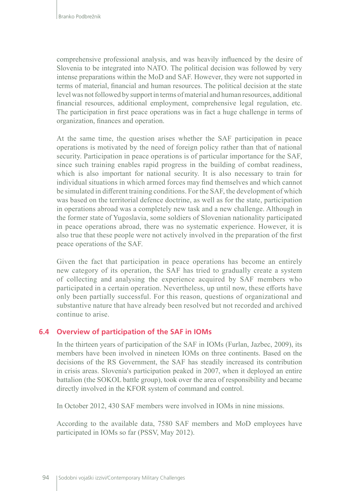comprehensive professional analysis, and was heavily influenced by the desire of Slovenia to be integrated into NATO. The political decision was followed by very intense preparations within the MoD and SAF. However, they were not supported in terms of material, financial and human resources. The political decision at the state level was not followed by support in terms of material and human resources, additional financial resources, additional employment, comprehensive legal regulation, etc. The participation in first peace operations was in fact a huge challenge in terms of organization, finances and operation.

At the same time, the question arises whether the SAF participation in peace operations is motivated by the need of foreign policy rather than that of national security. Participation in peace operations is of particular importance for the SAF, since such training enables rapid progress in the building of combat readiness, which is also important for national security. It is also necessary to train for individual situations in which armed forces may find themselves and which cannot be simulated in different training conditions. For the SAF, the development of which was based on the territorial defence doctrine, as well as for the state, participation in operations abroad was a completely new task and a new challenge. Although in the former state of Yugoslavia, some soldiers of Slovenian nationality participated in peace operations abroad, there was no systematic experience. However, it is also true that these people were not actively involved in the preparation of the first peace operations of the SAF.

Given the fact that participation in peace operations has become an entirely new category of its operation, the SAF has tried to gradually create a system of collecting and analysing the experience acquired by SAF members who participated in a certain operation. Nevertheless, up until now, these efforts have only been partially successful. For this reason, questions of organizational and substantive nature that have already been resolved but not recorded and archived continue to arise.

#### **6.4 Overview of participation of the SAF in IOMs**

In the thirteen years of participation of the SAF in IOMs (Furlan, Jazbec, 2009), its members have been involved in nineteen IOMs on three continents. Based on the decisions of the RS Government, the SAF has steadily increased its contribution in crisis areas. Slovenia's participation peaked in 2007, when it deployed an entire battalion (the SOKOL battle group), took over the area of responsibility and became directly involved in the KFOR system of command and control.

In October 2012, 430 SAF members were involved in IOMs in nine missions.

According to the available data, 7580 SAF members and MoD employees have participated in IOMs so far (PSSV, May 2012).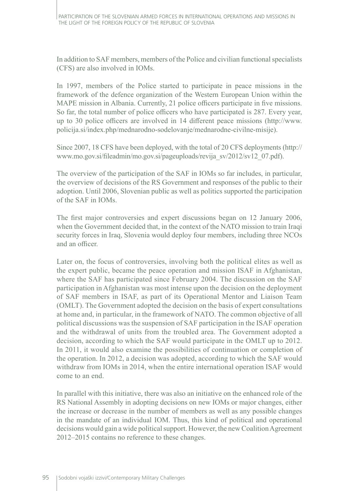In addition to SAF members, members of the Police and civilian functional specialists (CFS) are also involved in IOMs.

In 1997, members of the Police started to participate in peace missions in the framework of the defence organization of the Western European Union within the MAPE mission in Albania. Currently, 21 police officers participate in five missions. So far, the total number of police officers who have participated is 287. Every year, up to 30 police officers are involved in 14 different peace missions (http://www. policija.si/index.php/mednarodno-sodelovanje/mednarodne-civilne-misije).

Since 2007, 18 CFS have been deployed, with the total of 20 CFS deployments (http:// www.mo.gov.si/fileadmin/mo.gov.si/pageuploads/revija\_sv/2012/sv12\_07.pdf).

The overview of the participation of the SAF in IOMs so far includes, in particular, the overview of decisions of the RS Government and responses of the public to their adoption. Until 2006, Slovenian public as well as politics supported the participation of the SAF in IOMs.

The first major controversies and expert discussions began on 12 January 2006, when the Government decided that, in the context of the NATO mission to train Iraqi security forces in Iraq, Slovenia would deploy four members, including three NCOs and an officer.

Later on, the focus of controversies, involving both the political elites as well as the expert public, became the peace operation and mission ISAF in Afghanistan, where the SAF has participated since February 2004. The discussion on the SAF participation in Afghanistan was most intense upon the decision on the deployment of SAF members in ISAF, as part of its Operational Mentor and Liaison Team (OMLT). The Government adopted the decision on the basis of expert consultations at home and, in particular, in the framework of NATO. The common objective of all political discussions was the suspension of SAF participation in the ISAF operation and the withdrawal of units from the troubled area. The Government adopted a decision, according to which the SAF would participate in the OMLT up to 2012. In 2011, it would also examine the possibilities of continuation or completion of the operation. In 2012, a decision was adopted, according to which the SAF would withdraw from IOMs in 2014, when the entire international operation ISAF would come to an end.

In parallel with this initiative, there was also an initiative on the enhanced role of the RS National Assembly in adopting decisions on new IOMs or major changes, either the increase or decrease in the number of members as well as any possible changes in the mandate of an individual IOM. Thus, this kind of political and operational decisions would gain a wide political support. However, the new Coalition Agreement 2012–2015 contains no reference to these changes.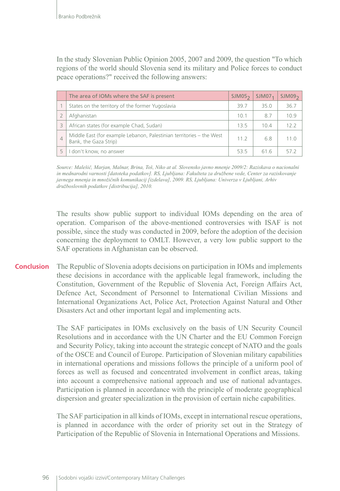In the study Slovenian Public Opinion 2005, 2007 and 2009, the question "To which regions of the world should Slovenia send its military and Police forces to conduct peace operations?" received the following answers:

|                | The area of IOMs where the SAF is present                                                     | SIM05 <sub>2</sub> | SIM07 <sub>1</sub> | SIM09 <sub>2</sub> |
|----------------|-----------------------------------------------------------------------------------------------|--------------------|--------------------|--------------------|
|                | States on the territory of the former Yugoslavia                                              | 397                | 35.0               | 36.7               |
|                | Afghanistan                                                                                   | 10.1               | 87                 | 109                |
| 3              | African states (for example Chad, Sudan)                                                      | 13.5               | 10.4               | 122                |
| $\overline{4}$ | Middle East (for example Lebanon, Palestinian territories – the West<br>Bank, the Gaza Strip) | 112                | 6.8                | 11 O               |
|                | don't know, no answer                                                                         | 535                | 616                |                    |

*Source: Malešič, Marjan, Malnar, Brina, Toš, Niko at al. Slovensko javno mnenje 2009/2: Raziskava o nacionalni in mednarodni varnosti [datoteka podatkov]. RS, Ljubljana: Fakulteta za družbene vede, Center za raziskovanje javnega mnenja in množičnih komunikacij [izdelava], 2009. RS, Ljubljana: Univerza v Ljubljani, Arhiv družboslovnih podatkov [distribucija], 2010.*

The results show public support to individual IOMs depending on the area of operation. Comparison of the above-mentioned controversies with ISAF is not possible, since the study was conducted in 2009, before the adoption of the decision concerning the deployment to OMLT. However, a very low public support to the SAF operations in Afghanistan can be observed.

The Republic of Slovenia adopts decisions on participation in IOMs and implements these decisions in accordance with the applicable legal framework, including the Constitution, Government of the Republic of Slovenia Act, Foreign Affairs Act, Defence Act, Secondment of Personnel to International Civilian Missions and International Organizations Act, Police Act, Protection Against Natural and Other Disasters Act and other important legal and implementing acts. **Conclusion**

> The SAF participates in IOMs exclusively on the basis of UN Security Council Resolutions and in accordance with the UN Charter and the EU Common Foreign and Security Policy, taking into account the strategic concept of NATO and the goals of the OSCE and Council of Europe. Participation of Slovenian military capabilities in international operations and missions follows the principle of a uniform pool of forces as well as focused and concentrated involvement in conflict areas, taking into account a comprehensive national approach and use of national advantages. Participation is planned in accordance with the principle of moderate geographical dispersion and greater specialization in the provision of certain niche capabilities.

> The SAF participation in all kinds of IOMs, except in international rescue operations, is planned in accordance with the order of priority set out in the Strategy of Participation of the Republic of Slovenia in International Operations and Missions.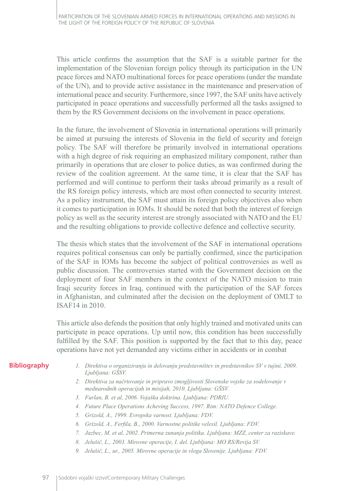This article confirms the assumption that the SAF is a suitable partner for the implementation of the Slovenian foreign policy through its participation in the UN peace forces and NATO multinational forces for peace operations (under the mandate of the UN), and to provide active assistance in the maintenance and preservation of international peace and security. Furthermore, since 1997, the SAF units have actively participated in peace operations and successfully performed all the tasks assigned to them by the RS Government decisions on the involvement in peace operations.

In the future, the involvement of Slovenia in international operations will primarily be aimed at pursuing the interests of Slovenia in the field of security and foreign policy. The SAF will therefore be primarily involved in international operations with a high degree of risk requiring an emphasized military component, rather than primarily in operations that are closer to police duties, as was confirmed during the review of the coalition agreement. At the same time, it is clear that the SAF has performed and will continue to perform their tasks abroad primarily as a result of the RS foreign policy interests, which are most often connected to security interest. As a policy instrument, the SAF must attain its foreign policy objectives also when it comes to participation in IOMs. It should be noted that both the interest of foreign policy as well as the security interest are strongly associated with NATO and the EU and the resulting obligations to provide collective defence and collective security.

The thesis which states that the involvement of the SAF in international operations requires political consensus can only be partially confirmed, since the participation of the SAF in IOMs has become the subject of political controversies as well as public discussion. The controversies started with the Government decision on the deployment of four SAF members in the context of the NATO mission to train Iraqi security forces in Iraq, continued with the participation of the SAF forces in Afghanistan, and culminated after the decision on the deployment of OMLT to ISAF14 in 2010.

This article also defends the position that only highly trained and motivated units can participate in peace operations. Up until now, this condition has been successfully fulfilled by the SAF. This position is supported by the fact that to this day, peace operations have not yet demanded any victims either in accidents or in combat

#### **Bibliography**

- *1. Direktiva o organiziranju in delovanju predstavništev in predstavnikov SV v tujini, 2009. Ljubljana: GŠSV.*
- *2. Direktiva za načrtovanje in pripravo zmogljivosti Slovenske vojske za sodelovanje v mednarodnih operacijah in misijah, 2010. Ljubljana: GŠSV.*
- *3. Furlan, B. et al, 2006. Vojaška doktrina. Ljubljana: PDRIU.*
- *4. Future Place Operations Acheving Success, 1997. Rim: NATO Defence College.*
- *5. Grizold, A., 1999. Evropska varnost. Ljubljana: FDV.*
- *6. Grizold, A., Ferfila, B., 2000. Varnostne politike velesil. Ljubljana: FDV.*
- *7. Jazbec, M. et al, 2002. Primerna zunanja politika. Ljubljana: MZZ, center za raziskave.*
- *8. Jelušič, L., 2003. Mirovne operacije, I. del. Ljubljana: MO RS/Revija SV.*
- *9. Jelušič, L., ur., 2005. Mirovne operacije in vloga Slovenije. Ljubljana: FDV.*